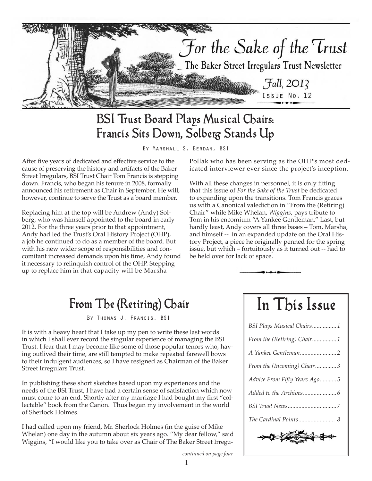

## BSI Trust Board Plays Musical Chairs: Francis Sits Down, Solberg Stands Up

By Marshall S. Berdan, BSI

After five years of dedicated and effective service to the cause of preserving the history and artifacts of the Baker Street Irregulars, BSI Trust Chair Tom Francis is stepping down. Francis, who began his tenure in 2008, formally announced his retirement as Chair in September. He will, however, continue to serve the Trust as a board member.

Replacing him at the top will be Andrew (Andy) Solberg, who was himself appointed to the board in early 2012. For the three years prior to that appointment, Andy had led the Trust's Oral History Project (OHP), a job he continued to do as a member of the board. But with his new wider scope of responsibilities and concomitant increased demands upon his time, Andy found it necessary to relinquish control of the OHP. Stepping up to replace him in that capacity will be Marsha

Pollak who has been serving as the OHP's most dedicated interviewer ever since the project's inception.

With all these changes in personnel, it is only fitting that this issue of *For the Sake of the Trust* be dedicated to expanding upon the transitions. Tom Francis graces us with a Canonical valediction in "From the (Retiring) Chair" while Mike Whelan, *Wiggins*, pays tribute to Tom in his encomium "A Yankee Gentleman." Last, but hardly least, Andy covers all three bases – Tom, Marsha, and himself -- in an expanded update on the Oral History Project, a piece he originally penned for the spring issue, but which – fortuitously as it turned out -- had to be held over for lack of space.

## From The (Retiring) Chair

By Thomas J. Francis, BSI

It is with a heavy heart that I take up my pen to write these last words in which I shall ever record the singular experience of managing the BSI Trust. I fear that I may become like some of those popular tenors who, having outlived their time, are still tempted to make repeated farewell bows to their indulgent audiences, so I have resigned as Chairman of the Baker Street Irregulars Trust.

In publishing these short sketches based upon my experiences and the needs of the BSI Trust, I have had a certain sense of satisfaction which now must come to an end. Shortly after my marriage I had bought my first "collectable" book from the Canon. Thus began my involvement in the world of Sherlock Holmes.

I had called upon my friend, Mr. Sherlock Holmes (in the guise of Mike Whelan) one day in the autumn about six years ago. "My dear fellow," said Wiggins, "I would like you to take over as Chair of The Baker Street IrreguIn This Issue

| BSI Plays Musical Chairs1    |
|------------------------------|
| From the (Retiring) Chair1   |
|                              |
| From the (Incoming) Chair3   |
| Advice From Fifty Years Ago5 |
|                              |
|                              |
|                              |
| $\sim$<br>$\frac{1}{2}$      |

*continued on page four*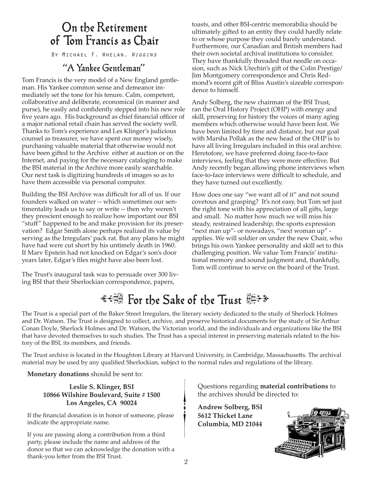### On the Retirement of Tom Francis as Chair

By Michael F. Whelan, *Wiggins*

### "A Yankee Gentleman"

Tom Francis is the very model of a New England gentleman. His Yankee common sense and demeanor immediately set the tone for his tenure. Calm, competent, collaborative and deliberate, economical (in manner and purse), he easily and confidently stepped into his new role five years ago. His background as chief financial officer of a major national retail chain has served the society well. Thanks to Tom's experience and Les Klinger's judicious counsel as treasurer, we have spent our money wisely, purchasing valuable material that otherwise would not have been gifted to the Archive either at auction or on the Internet, and paying for the necessary cataloging to make the BSI material in the Archive more easily searchable. Our next task is digitizing hundreds of images so as to have them accessible via personal computer.

Building the BSI Archive was difficult for all of us. If our founders walked on water -- which sometimes our sentimentality leads us to say or write -- then why weren't they prescient enough to realize how important our BSI "stuff" happened to be and make provision for its preservation? Edgar Smith alone perhaps realized its value by serving as the Irregulars' pack rat. But any plans he might have had were cut short by his untimely death in 1960. If Marv Epstein had not knocked on Edgar's son's door years later, Edgar's files might have also been lost.

The Trust's inaugural task was to persuade over 300 living BSI that their Sherlockian correspondence, papers,

toasts, and other BSI-centric memorabilia should be ultimately gifted to an entity they could hardly relate to or whose purpose they could barely understand. Furthermore, our Canadian and British members had their own societal archival institutions to consider. They have thankfully threaded that needle on occasion, such as Nick Utechin's gift of the Colin Prestige/ Jim Montgomery correspondence and Chris Redmond's recent gift of Bliss Austin's sizeable correspondence to himself.

Andy Solberg, the new chairman of the BSI Trust, ran the Oral History Project (OHP) with energy and skill, preserving for history the voices of many aging members which otherwise would have been lost. We have been limited by time and distance, but our goal with Marsha Pollak as the new head of the OHP is to have all living Irregulars included in this oral archive. Heretofore, we have preferred doing face-to-face interviews, feeling that they were more effective. But Andy recently began allowing phone interviews when face-to-face interviews were difficult to schedule, and they have turned out excellently.

How does one say "we want all of it" and not sound covetous and grasping? It's not easy, but Tom set just the right tone with his appreciation of all gifts, large and small. No matter how much we will miss his steady, restrained leadership, the sports expression "next man up"- or nowadays, "next woman up" applies. We will soldier on under the new Chair, who brings his own Yankee personality and skill set to this challenging position. We value Tom Francis' institutional memory and sound judgment and, thankfully, Tom will continue to serve on the board of the Trust.

# <del>: 3</del> For the Sake of the Trust

The Trust is a special part of the Baker Street Irregulars, the literary society dedicated to the study of Sherlock Holmes and Dr. Watson. The Trust is designed to collect, archive, and preserve historical documents for the study of Sir Arthur Conan Doyle, Sherlock Holmes and Dr. Watson, the Victorian world, and the individuals and organizations like the BSI that have devoted themselves to such studies. The Trust has a special interest in preserving materials related to the history of the BSI, its members, and friends.

The Trust archive is located in the Houghton Library at Harvard University, in Cambridge, Massachusetts. The archival material may be used by any qualified Sherlockian, subject to the normal rules and regulations of the library.

**Monetary donations** should be sent to:

#### **Leslie S. Klinger, BSI 10866 Wilshire Boulevard, Suite # 1500 Los Angeles, CA 90024**

If the financial donation is in honor of someone, please indicate the appropriate name.

If you are passing along a contribution from a third party, please include the name and address of the donor so that we can acknowledge the donation with a thank-you letter from the BSI Trust.

Questions regarding **material contributions** to the archives should be directed to:

**Andrew Solberg, BSI 5612 Thicket Lane Columbia, MD 21044**

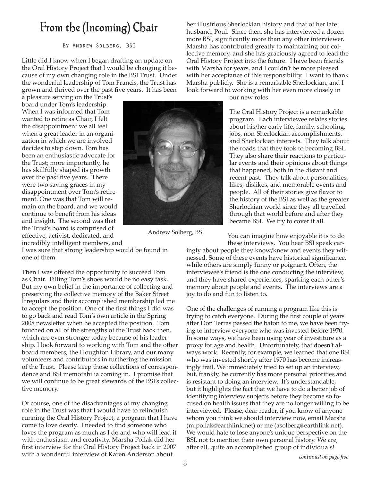### From the (Incoming) Chair

By Andrew Solberg, BSI

Little did I know when I began drafting an update on the Oral History Project that I would be changing it because of my own changing role in the BSI Trust. Under the wonderful leadership of Tom Francis, the Trust has grown and thrived over the past five years. It has been

a pleasure serving on the Trust's board under Tom's leadership. When I was informed that Tom wanted to retire as Chair, I felt the disappointment we all feel when a great leader in an organization in which we are involved decides to step down. Tom has been an enthusiastic advocate for the Trust; more importantly, he has skillfully shaped its growth over the past five years. There were two saving graces in my disappointment over Tom's retirement. One was that Tom will remain on the board, and we would continue to benefit from his ideas and insight. The second was that the Trust's board is comprised of effective, activist, dedicated, and incredibly intelligent members, and

I was sure that strong leadership would be found in one of them.

Then I was offered the opportunity to succeed Tom as Chair. Filling Tom's shoes would be no easy task. But my own belief in the importance of collecting and preserving the collective memory of the Baker Street Irregulars and their accomplished membership led me to accept the position. One of the first things I did was to go back and read Tom's own article in the Spring 2008 newsletter when he accepted the position. Tom touched on all of the strengths of the Trust back then, which are even stronger today because of his leadership. I look forward to working with Tom and the other board members, the Houghton Library, and our many volunteers and contributors in furthering the mission of the Trust. Please keep those collections of correspondence and BSI memorabilia coming in. I promise that we will continue to be great stewards of the BSI's collective memory.

Of course, one of the disadvantages of my changing role in the Trust was that I would have to relinquish running the Oral History Project, a program that I have come to love dearly. I needed to find someone who loves the program as much as I do and who will lead it with enthusiasm and creativity. Marsha Pollak did her first interview for the Oral History Project back in 2007 with a wonderful interview of Karen Anderson about

her illustrious Sherlockian history and that of her late husband, Poul. Since then, she has interviewed a dozen more BSI, significantly more than any other interviewer. Marsha has contributed greatly to maintaining our collective memory, and she has graciously agreed to lead the Oral History Project into the future. I have been friends with Marsha for years, and I couldn't be more pleased with her acceptance of this responsibility. I want to thank Marsha publicly. She is a remarkable Sherlockian, and I look forward to working with her even more closely in

our new roles.

The Oral History Project is a remarkable program. Each interviewee relates stories about his/her early life, family, schooling, jobs, non-Sherlockian accomplishments, and Sherlockian interests. They talk about the roads that they took to becoming BSI. They also share their reactions to particular events and their opinions about things that happened, both in the distant and recent past. They talk about personalities, likes, dislikes, and memorable events and people. All of their stories give flavor to the history of the BSI as well as the greater Sherlockian world since they all travelled through that world before and after they became BSI. We try to cover it all.

You can imagine how enjoyable it is to do these interviews. You hear BSI speak car-

ingly about people they know/knew and events they witnessed. Some of these events have historical significance, while others are simply funny or poignant. Often, the interviewee's friend is the one conducting the interview, and they have shared experiences, sparking each other's memory about people and events. The interviews are a joy to do and fun to listen to.

One of the challenges of running a program like this is trying to catch everyone. During the first couple of years after Don Terras passed the baton to me, we have been trying to interview everyone who was invested before 1970. In some ways, we have been using year of investiture as a proxy for age and health. Unfortunately, that doesn't always work. Recently, for example, we learned that one BSI who was invested shortly after 1970 has become increasingly frail. We immediately tried to set up an interview, but, frankly, he currently has more personal priorities and is resistant to doing an interview. It's understandable, but it highlights the fact that we have to do a better job of identifying interview subjects before they become so focused on health issues that they are no longer willing to be interviewed. Please, dear reader, if you know of anyone whom you think we should interview now, email Marsha (mlpollak@earthlink.net) or me (asolberg@earthlink.net). We would hate to lose anyone's unique perspective on the BSI, not to mention their own personal history. We are, after all, quite an accomplished group of individuals!





Andrew Solberg, BSI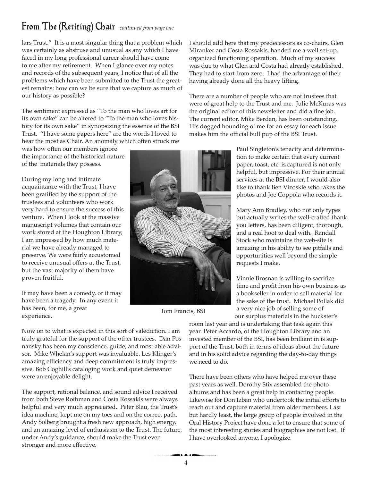### **From The (Retiring) Chair** continued from page one

lars Trust." It is a most singular thing that a problem which was certainly as abstruse and unusual as any which I have faced in my long professional career should have come to me after my retirement. When I glance over my notes and records of the subsequent years, I notice that of all the problems which have been submitted to the Trust the greatest remains: how can we be sure that we capture as much of our history as possible?

The sentiment expressed as "To the man who loves art for its own sake" can be altered to "To the man who loves history for its own sake" in synopsizing the essence of the BSI Trust. "I have some papers here" are the words I loved to hear the most as Chair. An anomaly which often struck me

was how often our members ignore the importance of the historical nature of the materials they possess.

During my long and intimate acquaintance with the Trust, I have been gratified by the support of the trustees and volunteers who work very hard to ensure the success of this venture. When I look at the massive manuscript volumes that contain our work stored at the Houghton Library, I am impressed by how much material we have already managed to preserve. We were fairly accustomed to receive unusual offers at the Trust, but the vast majority of them have proven fruitful.

It may have been a comedy, or it may have been a tragedy. In any event it has been, for me, a great experience.

Now on to what is expected in this sort of valediction. I am truly grateful for the support of the other trustees. Dan Posnansky has been my conscience, guide, and most able advisor. Mike Whelan's support was invaluable. Les Klinger's amazing efficiency and deep commitment is truly impressive. Bob Coghill's cataloging work and quiet demeanor were an enjoyable delight.

The support, rational balance, and sound advice I received from both Steve Rothman and Costa Rossakis were always helpful and very much appreciated. Peter Blau, the Trust's idea machine, kept me on my toes and on the correct path. Andy Solberg brought a fresh new approach, high energy, and an amazing level of enthusiasm to the Trust. The future, under Andy's guidance, should make the Trust even stronger and more effective.

I should add here that my predecessors as co-chairs, Glen Miranker and Costa Rossakis, handed me a well set-up, organized functioning operation. Much of my success was due to what Glen and Costa had already established. They had to start from zero. I had the advantage of their having already done all the heavy lifting.

There are a number of people who are not trustees that were of great help to the Trust and me. Julie McKuras was the original editor of this newsletter and did a fine job. The current editor, Mike Berdan, has been outstanding. His dogged hounding of me for an essay for each issue makes him the official bull pup of the BSI Trust.

> Paul Singleton's tenacity and determination to make certain that every current paper, toast, etc. is captured is not only helpful, but impressive. For their annual services at the BSI dinner, I would also like to thank Ben Vizoskie who takes the photos and Joe Coppola who records it.

Mary Ann Bradley, who not only types but actually writes the well-crafted thank you letters, has been diligent, thorough, and a real hoot to deal with. Randall Stock who maintains the web-site is amazing in his ability to see pitfalls and opportunities well beyond the simple requests I make.

Vinnie Brosnan is willing to sacrifice time and profit from his own business as a bookseller in order to sell material for the sake of the trust. Michael Pollak did a very nice job of selling some of our surplus materials in the huckster's

room last year and is undertaking that task again this year. Peter Accardo, of the Houghton Library and an invested member of the BSI, has been brilliant in is support of the Trust, both in terms of ideas about the future and in his solid advice regarding the day-to-day things we need to do.

There have been others who have helped me over these past years as well. Dorothy Stix assembled the photo albums and has been a great help in contacting people. Likewise for Don Izban who undertook the initial efforts to reach out and capture material from older members. Last but hardly least, the large group of people involved in the Oral History Project have done a lot to ensure that some of the most interesting stories and biographies are not lost. If I have overlooked anyone, I apologize.

Tom Francis, BSI

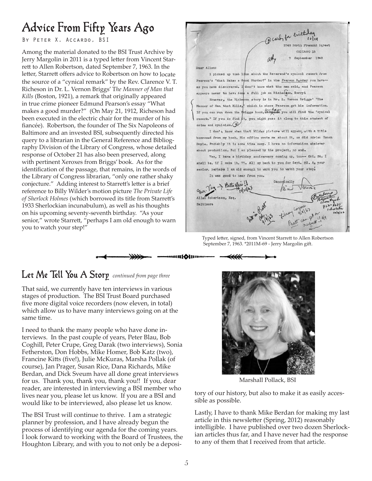# Advice From Fifty Years Ago

BY PETER X. ACCARDO, BSI

Among the material donated to the BSI Trust Archive by Jerry Margolin in 2011 is a typed letter from Vincent Starrett to Allen Robertson, dated September 7, 1963. In the letter, Starrett offers advice to Robertson on how to locate the source of a "cynical remark" by the Rev. Clarence V. T. Richeson in Dr. L. Vernon Briggs' T*he Manner of Man that Kills* (Boston, 1921), a remark that originally appeared in true crime pioneer Edmund Pearson's essay "What makes a good murder?" (On May 21, 1912, Richeson had been executed in the electric chair for the murder of his fiancée). Robertson, the founder of The Six Napoleons of Baltimore and an invested BSI, subsequently directed his query to a librarian in the General Reference and Bibliography Division of the Library of Congress, whose detailed response of October 21 has also been preserved, along with pertinent Xeroxes from Briggs' book. As for the identification of the passage, that remains, in the words of the Library of Congress librarian, "only one rather shaky conjecture." Adding interest to Starrett's letter is a brief reference to Billy Wilder's motion picture *The Private Life of Sherlock Holmes* (which borrowed its title from Starrett's 1933 Sherlockian incunabulum), as well as his thoughts on his upcoming seventy-seventh birthday. "As your senior," wrote Starrett, "perhaps I am old enough to warn you to watch your step!"

D carb for critics emont Street CHICAGO 13 September 1963

#### Dear Allen:

I picked up that line about the Reverend's cynical remark from Pearson's "What Makes a Good Murder?" in the Pearson Reader you have-as you have discovered. I don't know what the man said, and Pearson appears never to have done a full job on Richesson. Sorry!

However, the Richeson story is in Dr. L. Vernon Briggs' "The Manner of Man that Kills," which is where Pearson got his information. If you can run down the Briggs book, Letter's you will find the "cynical remark." If you do find it, you might pass it along to this student of crime and cynicism.

I don't know when that Wilder picture will appear, with a title borrowed from my book. His office wrote me about it, as did Adrian Conan Doyle. Probably it is some time away. I have no information whatever about production. But I am pleased by the project, no end.

Yes, I have a birthday anniversary coming up, too -- Oct. 26. I shall be, if I make it, 77. All my best to you for Sept. 23. As your senior, perhaps I am old enough to warn you to watch your step. It was good to hear from you.

que Pey > Batte sprie! Canonically Vtar Michael Allen Robertson, Esq. **Baltimore** 

Typed letter, signed, from Vincent Starrett to Allen Robertson September 7, 1963. \*2011M-69 - Jerry Margolin gift.

#### Let Me Tell You A Storp continued from page three

That said, we currently have ten interviews in various stages of production. The BSI Trust Board purchased five more digital voice recorders (now eleven, in total) which allow us to have many interviews going on at the same time.

I need to thank the many people who have done interviews. In the past couple of years, Peter Blau, Bob Coghill, Peter Crupe, Greg Darak (two interviews), Sonia Fetherston, Don Hobbs, Mike Homer, Bob Katz (two), Francine Kitts (five!), Julie McKuras, Marsha Pollak (of course), Jan Prager, Susan Rice, Dana Richards, Mike Berdan, and Dick Sveum have all done great interviews for us. Thank you, thank you, thank you!! If you, dear reader, are interested in interviewing a BSI member who lives near you, please let us know. If you are a BSI and would like to be interviewed, also please let us know.

The BSI Trust will continue to thrive. I am a strategic planner by profession, and I have already begun the process of identifying our agenda for the coming years. I look forward to working with the Board of Trustees, the Houghton Library, and with you to not only be a deposi-



Marshall Pollack, BSI

tory of our history, but also to make it as easily accessible as possible.

Lastly, I have to thank Mike Berdan for making my last article in this newsletter (Spring, 2012) reasonably intelligible. I have published over two dozen Sherlockian articles thus far, and I have never had the response to any of them that I received from that article.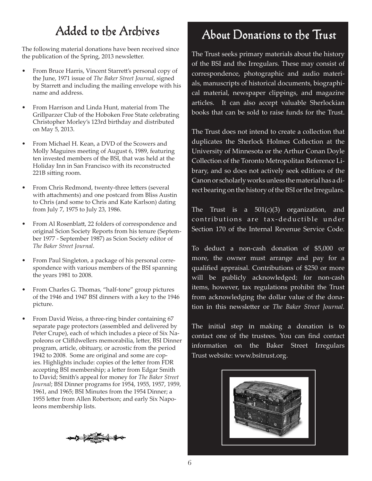## Added to the Archives

The following material donations have been received since the publication of the Spring, 2013 newsletter.

- From Bruce Harris, Vincent Starrett's personal copy of the June, 1971 issue of *The Baker Street Journal*, signed by Starrett and including the mailing envelope with his name and address.
- From Harrison and Linda Hunt, material from The Grillparzer Club of the Hoboken Free State celebrating Christopher Morley's 123rd birthday and distributed on May 5, 2013.
- From Michael H. Kean, a DVD of the Scowers and Molly Maguires meeting of August 6, 1989, featuring ten invested members of the BSI, that was held at the Holiday Inn in San Francisco with its reconstructed 221B sitting room.
- From Chris Redmond, twenty-three letters (several with attachments) and one postcard from Bliss Austin to Chris (and some to Chris and Kate Karlson) dating from July 7, 1975 to July 23, 1986.
- From Al Rosenblatt, 22 folders of correspondence and original Scion Society Reports from his tenure (September 1977 - September 1987) as Scion Society editor of *The Baker Street Journal*.
- From Paul Singleton, a package of his personal correspondence with various members of the BSI spanning the years 1981 to 2008.
- From Charles G. Thomas, "half-tone" group pictures of the 1946 and 1947 BSI dinners with a key to the 1946 picture.
- From David Weiss, a three-ring binder containing 67 separate page protectors (assembled and delivered by Peter Crupe), each of which includes a piece of Six Napoleons or Cliffdwellers memorabilia, letter, BSI Dinner program, article, obituary, or acrostic from the period 1942 to 2008. Some are original and some are copies. Highlights include: copies of the letter from FDR accepting BSI membership; a letter from Edgar Smith to David; Smith's appeal for money for *The Baker Street Journal*; BSI Dinner programs for 1954, 1955, 1957, 1959, 1961, and 1965; BSI Minutes from the 1954 Dinner; a 1955 letter from Allen Robertson; and early Six Napoleons membership lists.



# About Donations to the Trust

The Trust seeks primary materials about the history of the BSI and the Irregulars. These may consist of correspondence, photographic and audio materials, manuscripts of historical documents, biographical material, newspaper clippings, and magazine articles. It can also accept valuable Sherlockian books that can be sold to raise funds for the Trust.

The Trust does not intend to create a collection that duplicates the Sherlock Holmes Collection at the University of Minnesota or the Arthur Conan Doyle Collection of the Toronto Metropolitan Reference Library, and so does not actively seek editions of the Canon or scholarly works unless the material has a direct bearing on the history of the BSI or the Irregulars.

The Trust is a  $501(c)(3)$  organization, and contributions are tax-deductible under Section 170 of the Internal Revenue Service Code.

To deduct a non-cash donation of \$5,000 or more, the owner must arrange and pay for a qualified appraisal. Contributions of \$250 or more will be publicly acknowledged; for non-cash items, however, tax regulations prohibit the Trust from acknowledging the dollar value of the donation in this newsletter or *The Baker Street Journal.*

The initial step in making a donation is to contact one of the trustees. You can find contact information on the Baker Street Irregulars Trust website: www.bsitrust.org.

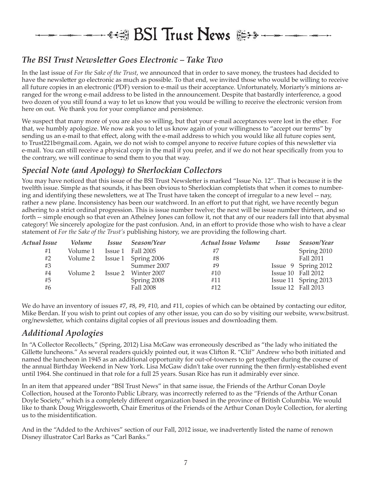# **\*週 BSI Trust News**

#### *The BSI Trust Newsletter Goes Electronic – Take Two*

In the last issue of *For the Sake of the Trust*, we announced that in order to save money, the trustees had decided to have the newsletter go electronic as much as possible. To that end, we invited those who would be willing to receive all future copies in an electronic (PDF) version to e-mail us their acceptance. Unfortunately, Moriarty's minions arranged for the wrong e-mail address to be listed in the announcement. Despite that bastardly interference, a good two dozen of you still found a way to let us know that you would be willing to receive the electronic version from here on out. We thank you for your compliance and persistence.

We suspect that many more of you are also so willing, but that your e-mail acceptances were lost in the ether. For that, we humbly apologize. We now ask you to let us know again of your willingness to "accept our terms" by sending us an e-mail to that effect, along with the e-mail address to which you would like all future copies sent, to Trust221b@gmail.com. Again, we do not wish to compel anyone to receive future copies of this newsletter via e-mail. You can still receive a physical copy in the mail if you prefer, and if we do not hear specifically from you to the contrary, we will continue to send them to you that way.

#### *Special Note (and Apology) to Sherlockian Collectors*

You may have noticed that this issue of the BSI Trust Newsletter is marked "Issue No. 12". That is because it is the twelfth issue. Simple as that sounds, it has been obvious to Sherlockian completists that when it comes to numbering and identifying these newsletters, we at The Trust have taken the concept of irregular to a new level -- nay, rather a new plane. Inconsistency has been our watchword. In an effort to put that right, we have recently begun adhering to a strict ordinal progression. This is issue number twelve; the next will be issue number thirteen, and so forth -- simple enough so that even an Athelney Jones can follow it, not that any of our readers fall into that abysmal category! We sincerely apologize for the past confusion. And, in an effort to provide those who wish to have a clear statement of *For the Sake of the Trust's* publishing history, we are providing the following chart.

| Actual Issue | <i>Volume</i> | <i>Issue</i> | Season/Year         | Actual Issue Volume | <i>Issue</i> | Season/Year          |
|--------------|---------------|--------------|---------------------|---------------------|--------------|----------------------|
| #1           | Volume 1      | Issue 1      | Fall 2005           | #7                  |              | Spring 2010          |
| #2           | Volume 2      |              | Issue 1 Spring 2006 | #8                  |              | Fall 2011            |
| #3           |               |              | Summer 2007         | #9                  |              | Issue 9 Spring 2012  |
| #4           | Volume 2      |              | Issue 2 Winter 2007 | #10                 |              | Issue 10 Fall 2012   |
| #5           |               |              | Spring 2008         | #11                 |              | Issue 11 Spring 2013 |
| #6           |               |              | Fall 2008           | #12                 |              | Issue 12 Fall 2013   |

We do have an inventory of issues #7, #8, #9, #10, and #11, copies of which can be obtained by contacting our editor, Mike Berdan. If you wish to print out copies of any other issue, you can do so by visiting our website, www.bsitrust. org/newsletter, which contains digital copies of all previous issues and downloading them.

#### *Additional Apologies*

In "A Collector Recollects," (Spring, 2012) Lisa McGaw was erroneously described as "the lady who initiated the Gillette luncheons." As several readers quickly pointed out, it was Clifton R. "Clif" Andrew who both initiated and named the luncheon in 1945 as an additional opportunity for out-of-towners to get together during the course of the annual Birthday Weekend in New York. Lisa McGaw didn't take over running the then firmly-established event until 1964. She continued in that role for a full 25 years. Susan Rice has run it admirably ever since.

In an item that appeared under "BSI Trust News" in that same issue, the Friends of the Arthur Conan Doyle Collection, housed at the Toronto Public Library, was incorrectly referred to as the "Friends of the Arthur Conan Doyle Society," which is a completely different organization based in the province of British Columbia. We would like to thank Doug Wrigglesworth, Chair Emeritus of the Friends of the Arthur Conan Doyle Collection, for alerting us to the misidentification.

And in the "Added to the Archives" section of our Fall, 2012 issue, we inadvertently listed the name of renown Disney illustrator Carl Barks as "Carl Banks."